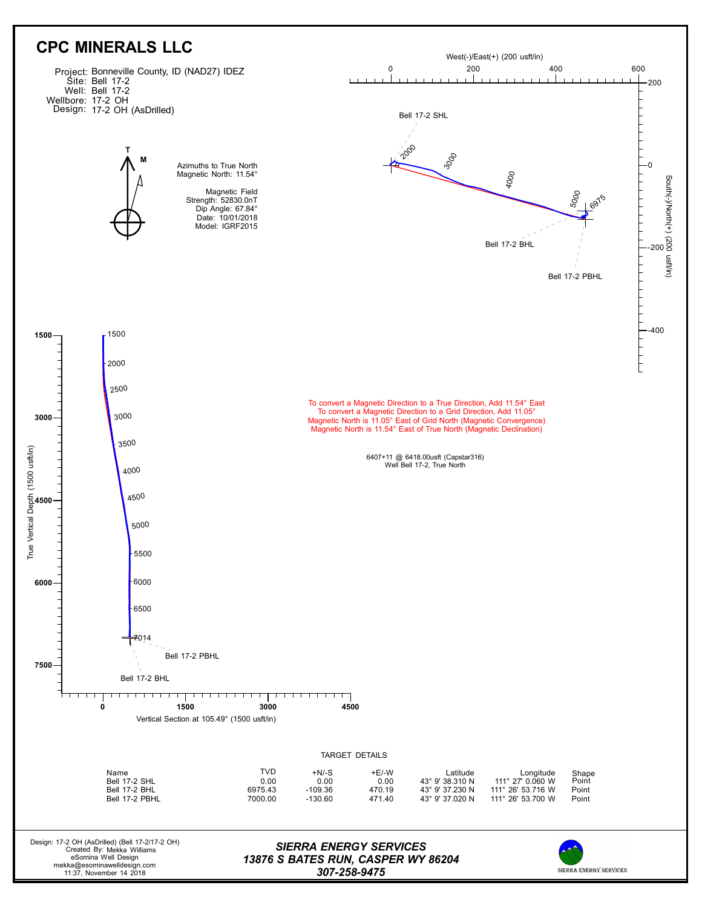

*307-258-9475*

SIERRA ENERGY SERVICES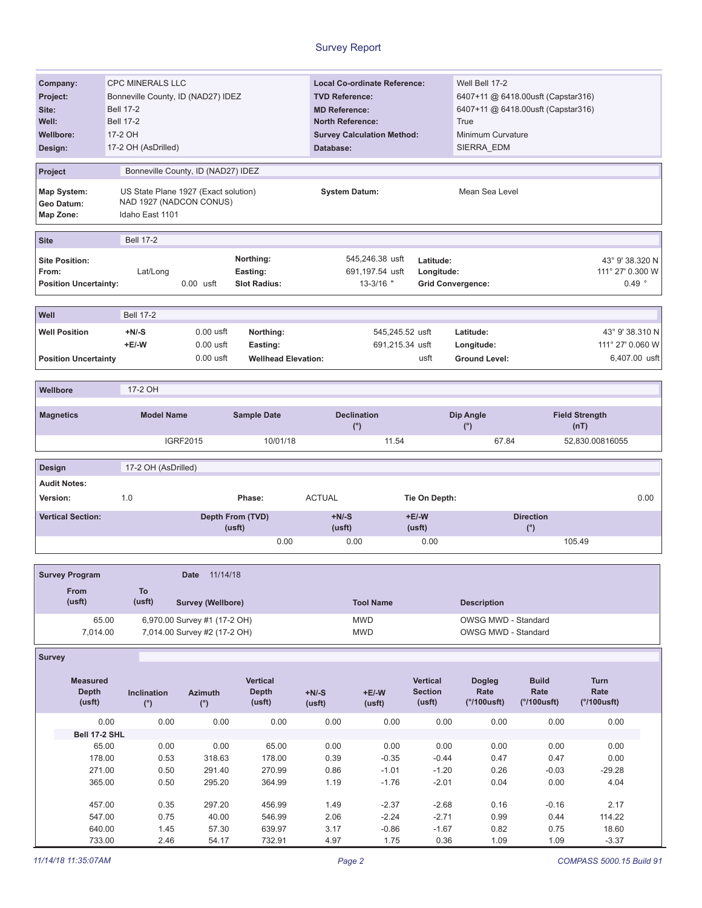| Company:                              |                              | <b>CPC MINERALS LLC</b>            |                                      |                            |                      | <b>Local Co-ordinate Reference:</b> |                          | Well Bell 17-2       |                                    |                  |                   |  |
|---------------------------------------|------------------------------|------------------------------------|--------------------------------------|----------------------------|----------------------|-------------------------------------|--------------------------|----------------------|------------------------------------|------------------|-------------------|--|
|                                       |                              |                                    |                                      |                            |                      | <b>TVD Reference:</b>               |                          |                      | 6407+11 @ 6418.00usft (Capstar316) |                  |                   |  |
| Project:                              |                              | Bonneville County, ID (NAD27) IDEZ |                                      |                            |                      |                                     |                          |                      |                                    |                  |                   |  |
| Site:                                 |                              | <b>Bell 17-2</b>                   |                                      |                            |                      | <b>MD Reference:</b>                |                          |                      | 6407+11 @ 6418.00usft (Capstar316) |                  |                   |  |
| Well:                                 |                              | <b>Bell 17-2</b>                   |                                      |                            |                      | <b>North Reference:</b>             |                          |                      |                                    |                  |                   |  |
| <b>Wellbore:</b>                      |                              | 17-2 OH                            |                                      |                            |                      | <b>Survey Calculation Method:</b>   |                          | Minimum Curvature    |                                    |                  |                   |  |
| Design:                               |                              | 17-2 OH (AsDrilled)                |                                      |                            | Database:            |                                     |                          | SIERRA EDM           |                                    |                  |                   |  |
|                                       |                              |                                    |                                      |                            |                      |                                     |                          |                      |                                    |                  |                   |  |
| Project                               |                              |                                    | Bonneville County, ID (NAD27) IDEZ   |                            |                      |                                     |                          |                      |                                    |                  |                   |  |
| Map System:                           |                              |                                    | US State Plane 1927 (Exact solution) |                            | <b>System Datum:</b> |                                     |                          | Mean Sea Level       |                                    |                  |                   |  |
| Geo Datum:                            |                              |                                    | NAD 1927 (NADCON CONUS)              |                            |                      |                                     |                          |                      |                                    |                  |                   |  |
| Map Zone:                             |                              | Idaho East 1101                    |                                      |                            |                      |                                     |                          |                      |                                    |                  |                   |  |
|                                       |                              |                                    |                                      |                            |                      |                                     |                          |                      |                                    |                  |                   |  |
| <b>Site</b>                           |                              | <b>Bell 17-2</b>                   |                                      |                            |                      |                                     |                          |                      |                                    |                  |                   |  |
| <b>Site Position:</b>                 |                              |                                    |                                      | Northing:                  |                      | 545,246.38 usft                     | Latitude:                |                      |                                    |                  | 43° 9' 38.320 N   |  |
| From:                                 |                              |                                    |                                      |                            |                      | 691,197.54 usft                     |                          |                      |                                    | 111° 27' 0.300 W |                   |  |
|                                       |                              | Lat/Long                           |                                      | Easting:                   |                      |                                     | Longitude:               |                      |                                    |                  |                   |  |
|                                       | <b>Position Uncertainty:</b> |                                    | $0.00$ usft                          | <b>Slot Radius:</b>        |                      | $13 - 3/16$ "                       | <b>Grid Convergence:</b> |                      |                                    |                  | $0.49$ $^{\circ}$ |  |
|                                       |                              |                                    |                                      |                            |                      |                                     |                          |                      |                                    |                  |                   |  |
| Well                                  |                              | <b>Bell 17-2</b>                   |                                      |                            |                      |                                     |                          |                      |                                    |                  |                   |  |
| <b>Well Position</b>                  |                              | $+N/-S$                            | $0.00$ usft                          | Northing:                  |                      | 545,245.52 usft                     |                          | Latitude:            |                                    |                  | 43° 9' 38.310 N   |  |
|                                       |                              | $+E/-W$                            | $0.00$ usft                          | Easting:                   |                      | 691,215.34 usft                     |                          | Longitude:           |                                    | 111° 27' 0.060 W |                   |  |
|                                       | <b>Position Uncertainty</b>  |                                    | $0.00$ usft                          | <b>Wellhead Elevation:</b> |                      |                                     | usft                     | <b>Ground Level:</b> |                                    |                  | 6,407.00 usft     |  |
|                                       |                              |                                    |                                      |                            |                      |                                     |                          |                      |                                    |                  |                   |  |
|                                       |                              |                                    |                                      |                            |                      |                                     |                          |                      |                                    |                  |                   |  |
| Wellbore                              |                              | 17-2 OH                            |                                      |                            |                      |                                     |                          |                      |                                    |                  |                   |  |
|                                       |                              |                                    |                                      |                            |                      |                                     |                          |                      |                                    |                  |                   |  |
| <b>Model Name</b><br><b>Magnetics</b> |                              |                                    | <b>Sample Date</b>                   |                            | <b>Declination</b>   |                                     | Dip Angle                |                      | <b>Field Strength</b>              |                  |                   |  |
|                                       |                              |                                    |                                      |                            |                      |                                     |                          |                      |                                    |                  |                   |  |
|                                       |                              |                                    |                                      |                            |                      | (°)                                 |                          | (°)                  |                                    | (nT)             |                   |  |
|                                       |                              |                                    | <b>IGRF2015</b>                      | 10/01/18                   |                      | 11.54                               |                          | 67.84                |                                    | 52,830.00816055  |                   |  |
| Design                                |                              | 17-2 OH (AsDrilled)                |                                      |                            |                      |                                     |                          |                      |                                    |                  |                   |  |
|                                       |                              |                                    |                                      |                            |                      |                                     |                          |                      |                                    |                  |                   |  |
| <b>Audit Notes:</b>                   |                              |                                    |                                      |                            |                      |                                     |                          |                      |                                    |                  |                   |  |
| Version:                              |                              | 1.0                                |                                      | Phase:                     | <b>ACTUAL</b>        |                                     | Tie On Depth:            |                      |                                    |                  | 0.00              |  |
|                                       | <b>Vertical Section:</b>     |                                    |                                      | Depth From (TVD)           | $+N/-S$              |                                     | $+E/-W$                  |                      | <b>Direction</b>                   |                  |                   |  |
|                                       |                              |                                    |                                      | (usft)                     | (usft)               |                                     | (usft)                   |                      | (°)                                |                  |                   |  |
|                                       |                              |                                    |                                      | 0.00                       |                      | 0.00                                | 0.00                     |                      |                                    | 105.49           |                   |  |
|                                       |                              |                                    |                                      |                            |                      |                                     |                          |                      |                                    |                  |                   |  |
|                                       | <b>Survey Program</b>        |                                    | 11/14/18<br><b>Date</b>              |                            |                      |                                     |                          |                      |                                    |                  |                   |  |
|                                       |                              |                                    |                                      |                            |                      |                                     |                          |                      |                                    |                  |                   |  |
|                                       | From                         | To                                 |                                      |                            |                      |                                     |                          |                      |                                    |                  |                   |  |
|                                       | (usft)                       | (usft)                             | Survey (Wellbore)                    |                            |                      | <b>Tool Name</b>                    |                          | <b>Description</b>   |                                    |                  |                   |  |
|                                       | 65.00                        |                                    | 6,970.00 Survey #1 (17-2 OH)         |                            |                      | <b>MWD</b>                          |                          | OWSG MWD - Standard  |                                    |                  |                   |  |
|                                       | 7,014.00                     |                                    | 7,014.00 Survey #2 (17-2 OH)         |                            |                      | <b>MWD</b>                          |                          | OWSG MWD - Standard  |                                    |                  |                   |  |
|                                       |                              |                                    |                                      |                            |                      |                                     |                          |                      |                                    |                  |                   |  |
| <b>Survey</b>                         |                              |                                    |                                      |                            |                      |                                     |                          |                      |                                    |                  |                   |  |
|                                       |                              |                                    |                                      |                            |                      |                                     |                          |                      |                                    |                  |                   |  |
|                                       | <b>Measured</b>              |                                    |                                      | <b>Vertical</b>            |                      |                                     | <b>Vertical</b>          | <b>Dogleg</b>        | <b>Build</b>                       | Turn             |                   |  |
|                                       | <b>Depth</b>                 | Inclination                        | <b>Azimuth</b>                       | <b>Depth</b>               | $+N/-S$              | $+E/-W$                             | <b>Section</b>           | Rate                 | Rate                               | Rate             |                   |  |
|                                       | (usft)                       | $(^\circ)$                         | $(^\circ)$                           | (usft)                     | (usft)               | (usft)                              | (usft)                   | (°/100usft)          | (°/100usft)                        | (°/100usft)      |                   |  |
|                                       |                              |                                    |                                      |                            |                      |                                     |                          |                      |                                    |                  |                   |  |
|                                       | 0.00                         | 0.00                               | 0.00                                 | 0.00                       | 0.00                 | 0.00                                | 0.00                     | 0.00                 | 0.00                               | 0.00             |                   |  |
|                                       | Bell 17-2 SHL                |                                    |                                      |                            |                      |                                     |                          |                      |                                    |                  |                   |  |
|                                       | 65.00                        | 0.00                               | 0.00                                 | 65.00                      | 0.00                 | 0.00                                | 0.00                     | 0.00                 | 0.00                               | 0.00             |                   |  |
|                                       | 178.00<br>271.00             | 0.53                               | 318.63                               | 178.00<br>270.99           | 0.39                 | $-0.35$<br>$-1.01$                  | $-0.44$                  | 0.47<br>0.26         | 0.47                               | 0.00<br>$-29.28$ |                   |  |

365.00

457.00

547.00

640.00

733.00

295.20

297.20

40.00

57.30

54.17

 $0.50\,$ 

0.35

0.75

1.45

2.46

364.99

456.99

546.99

639.97

732.91

 $1.19$ 

1.49

2.06

 $3.17$ 

4.97

 $-1.76$ 

 $-2.37$ 

 $-2.24$ 

 $-0.86$ 

1.75

 $-2.01$ 

 $-2.68$ 

 $-2.71$ 

 $-1.67$ 

0.36

 $0.04$ 

 $0.16$ 

0.99

 $0.82$ 

1.09

 $0.00\,$ 

 $-0.16$ 

 $0.44$ 

0.75

1.09

4.04

 $2.17$ 

114.22

18.60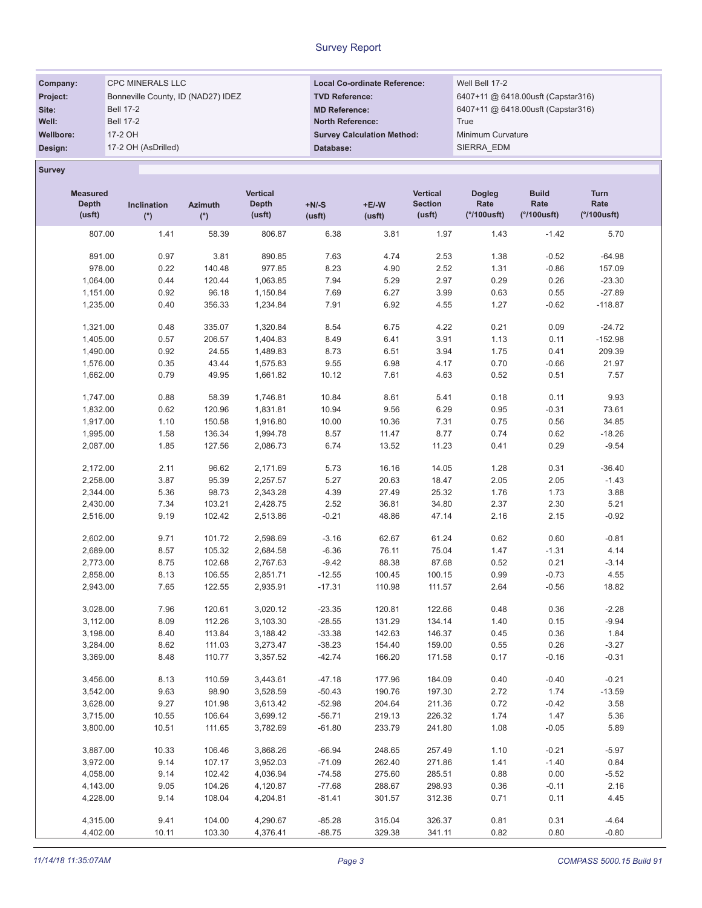| Company:  | <b>CPC MINERALS LLC</b>            | <b>Local Co-ordinate Reference:</b> | Well Bell 17-2                     |
|-----------|------------------------------------|-------------------------------------|------------------------------------|
| Project:  | Bonneville County, ID (NAD27) IDEZ | <b>TVD Reference:</b>               | 6407+11 @ 6418.00usft (Capstar316) |
| Site:     | <b>Bell 17-2</b>                   | <b>MD Reference:</b>                | 6407+11 @ 6418.00usft (Capstar316) |
| Well:     | <b>Bell 17-2</b>                   | <b>North Reference:</b>             | True                               |
| Wellbore: | 17-2 OH                            | <b>Survey Calculation Method:</b>   | Minimum Curvature                  |
| Design:   | 17-2 OH (AsDrilled)                | Database:                           | SIERRA EDM                         |

Survey

| <b>Measured</b><br><b>Depth</b><br>(usft) | Inclination<br>$(^\circ)$ | <b>Azimuth</b><br>(°) | Vertical<br><b>Depth</b><br>(usft) | $+N/-S$<br>(usft) | $+E/-W$<br>(usft) | <b>Vertical</b><br><b>Section</b><br>(usft) | <b>Dogleg</b><br>Rate<br>$(°/100$ usft) | <b>Build</b><br>Rate<br>(°/100usft) | <b>Turn</b><br>Rate<br>(°/100usft) |
|-------------------------------------------|---------------------------|-----------------------|------------------------------------|-------------------|-------------------|---------------------------------------------|-----------------------------------------|-------------------------------------|------------------------------------|
| 807.00                                    | 1.41                      | 58.39                 | 806.87                             | 6.38              | 3.81              | 1.97                                        | 1.43                                    | $-1.42$                             | 5.70                               |
| 891.00                                    | 0.97                      | 3.81                  | 890.85                             | 7.63              | 4.74              | 2.53                                        | 1.38                                    | $-0.52$                             | $-64.98$                           |
| 978.00                                    | 0.22                      | 140.48                | 977.85                             | 8.23              | 4.90              | 2.52                                        | 1.31                                    | $-0.86$                             | 157.09                             |
| 1,064.00                                  | 0.44                      | 120.44                | 1,063.85                           | 7.94              | 5.29              | 2.97                                        | 0.29                                    | 0.26                                | $-23.30$                           |
| 1,151.00                                  | 0.92                      | 96.18                 | 1,150.84                           | 7.69              | 6.27              | 3.99                                        | 0.63                                    | 0.55                                | $-27.89$                           |
| 1,235.00                                  | 0.40                      | 356.33                | 1,234.84                           | 7.91              | 6.92              | 4.55                                        | 1.27                                    | $-0.62$                             | $-118.87$                          |
|                                           |                           |                       |                                    |                   |                   |                                             |                                         |                                     |                                    |
| 1,321.00                                  | 0.48                      | 335.07                | 1,320.84                           | 8.54              | 6.75              | 4.22                                        | 0.21                                    | 0.09                                | $-24.72$                           |
| 1,405.00                                  | 0.57                      | 206.57                | 1,404.83                           | 8.49              | 6.41              | 3.91                                        | 1.13                                    | 0.11                                | $-152.98$                          |
| 1,490.00                                  | 0.92                      | 24.55                 | 1,489.83                           | 8.73              | 6.51              | 3.94                                        | 1.75                                    | 0.41                                | 209.39                             |
| 1,576.00                                  | 0.35                      | 43.44                 | 1,575.83                           | 9.55              | 6.98              | 4.17                                        | 0.70                                    | $-0.66$                             | 21.97                              |
| 1,662.00                                  | 0.79                      | 49.95                 | 1,661.82                           | 10.12             | 7.61              | 4.63                                        | 0.52                                    | 0.51                                | 7.57                               |
| 1,747.00                                  | 0.88                      | 58.39                 | 1,746.81                           | 10.84             | 8.61              | 5.41                                        | 0.18                                    | 0.11                                | 9.93                               |
| 1,832.00                                  | 0.62                      | 120.96                | 1,831.81                           | 10.94             | 9.56              | 6.29                                        | 0.95                                    | $-0.31$                             | 73.61                              |
| 1,917.00                                  | 1.10                      | 150.58                | 1,916.80                           | 10.00             | 10.36             | 7.31                                        | 0.75                                    | 0.56                                | 34.85                              |
| 1,995.00                                  | 1.58                      | 136.34                | 1,994.78                           | 8.57              | 11.47             | 8.77                                        | 0.74                                    | 0.62                                | $-18.26$                           |
| 2,087.00                                  | 1.85                      | 127.56                | 2,086.73                           | 6.74              | 13.52             | 11.23                                       | 0.41                                    | 0.29                                | $-9.54$                            |
| 2,172.00                                  | 2.11                      | 96.62                 | 2,171.69                           | 5.73              | 16.16             | 14.05                                       | 1.28                                    | 0.31                                | $-36.40$                           |
| 2,258.00                                  | 3.87                      | 95.39                 | 2,257.57                           | 5.27              | 20.63             | 18.47                                       | 2.05                                    | 2.05                                | $-1.43$                            |
| 2,344.00                                  | 5.36                      | 98.73                 | 2,343.28                           | 4.39              | 27.49             | 25.32                                       | 1.76                                    | 1.73                                | 3.88                               |
|                                           |                           | 103.21                | 2,428.75                           |                   | 36.81             |                                             | 2.37                                    |                                     |                                    |
| 2,430.00                                  | 7.34                      |                       |                                    | 2.52              |                   | 34.80                                       |                                         | 2.30                                | 5.21                               |
| 2,516.00                                  | 9.19                      | 102.42                | 2,513.86                           | $-0.21$           | 48.86             | 47.14                                       | 2.16                                    | 2.15                                | $-0.92$                            |
| 2,602.00                                  | 9.71                      | 101.72                | 2,598.69                           | $-3.16$           | 62.67             | 61.24                                       | 0.62                                    | 0.60                                | $-0.81$                            |
| 2,689.00                                  | 8.57                      | 105.32                | 2,684.58                           | $-6.36$           | 76.11             | 75.04                                       | 1.47                                    | $-1.31$                             | 4.14                               |
| 2,773.00                                  | 8.75                      | 102.68                | 2,767.63                           | $-9.42$           | 88.38             | 87.68                                       | 0.52                                    | 0.21                                | $-3.14$                            |
| 2,858.00                                  | 8.13                      | 106.55                | 2,851.71                           | $-12.55$          | 100.45            | 100.15                                      | 0.99                                    | $-0.73$                             | 4.55                               |
| 2,943.00                                  | 7.65                      | 122.55                | 2,935.91                           | $-17.31$          | 110.98            | 111.57                                      | 2.64                                    | $-0.56$                             | 18.82                              |
| 3,028.00                                  | 7.96                      | 120.61                | 3,020.12                           | $-23.35$          | 120.81            | 122.66                                      | 0.48                                    | 0.36                                | $-2.28$                            |
| 3,112.00                                  | 8.09                      | 112.26                | 3,103.30                           | $-28.55$          | 131.29            | 134.14                                      | 1.40                                    | 0.15                                | $-9.94$                            |
| 3,198.00                                  | 8.40                      | 113.84                | 3,188.42                           | $-33.38$          | 142.63            | 146.37                                      | 0.45                                    | 0.36                                | 1.84                               |
| 3,284.00                                  | 8.62                      | 111.03                | 3,273.47                           | $-38.23$          | 154.40            | 159.00                                      | 0.55                                    | 0.26                                | $-3.27$                            |
| 3,369.00                                  | 8.48                      | 110.77                | 3,357.52                           | $-42.74$          | 166.20            | 171.58                                      | 0.17                                    | $-0.16$                             | $-0.31$                            |
| 3,456.00                                  | 8.13                      | 110.59                | 3,443.61                           | $-47.18$          | 177.96            | 184.09                                      | 0.40                                    | $-0.40$                             | $-0.21$                            |
| 3,542.00                                  | 9.63                      | 98.90                 | 3,528.59                           | $-50.43$          | 190.76            | 197.30                                      | 2.72                                    | 1.74                                | $-13.59$                           |
| 3,628.00                                  | 9.27                      | 101.98                | 3,613.42                           | $-52.98$          | 204.64            | 211.36                                      | 0.72                                    | $-0.42$                             | 3.58                               |
| 3,715.00                                  | 10.55                     | 106.64                | 3,699.12                           | $-56.71$          | 219.13            | 226.32                                      | 1.74                                    | 1.47                                | 5.36                               |
| 3,800.00                                  | 10.51                     | 111.65                | 3,782.69                           | $-61.80$          | 233.79            | 241.80                                      | 1.08                                    | $-0.05$                             | 5.89                               |
|                                           |                           |                       |                                    |                   |                   |                                             |                                         |                                     |                                    |
| 3,887.00                                  | 10.33                     | 106.46                | 3,868.26                           | $-66.94$          | 248.65            | 257.49                                      | 1.10                                    | $-0.21$                             | $-5.97$                            |
| 3,972.00                                  | 9.14                      | 107.17                | 3,952.03                           | $-71.09$          | 262.40            | 271.86                                      | 1.41                                    | $-1.40$                             | 0.84                               |
| 4,058.00                                  | 9.14                      | 102.42                | 4,036.94                           | $-74.58$          | 275.60            | 285.51                                      | 0.88                                    | 0.00                                | $-5.52$                            |
| 4,143.00                                  | 9.05                      | 104.26                | 4,120.87                           | $-77.68$          | 288.67            | 298.93                                      | 0.36                                    | $-0.11$                             | 2.16                               |
| 4,228.00                                  | 9.14                      | 108.04                | 4,204.81                           | $-81.41$          | 301.57            | 312.36                                      | 0.71                                    | 0.11                                | 4.45                               |
| 4,315.00                                  | 9.41                      | 104.00                | 4,290.67                           | $-85.28$          | 315.04            | 326.37                                      | 0.81                                    | 0.31                                | $-4.64$                            |
| 4,402.00                                  | 10.11                     | 103.30                | 4,376.41                           | $-88.75$          | 329.38            | 341.11                                      | 0.82                                    | 0.80                                | $-0.80$                            |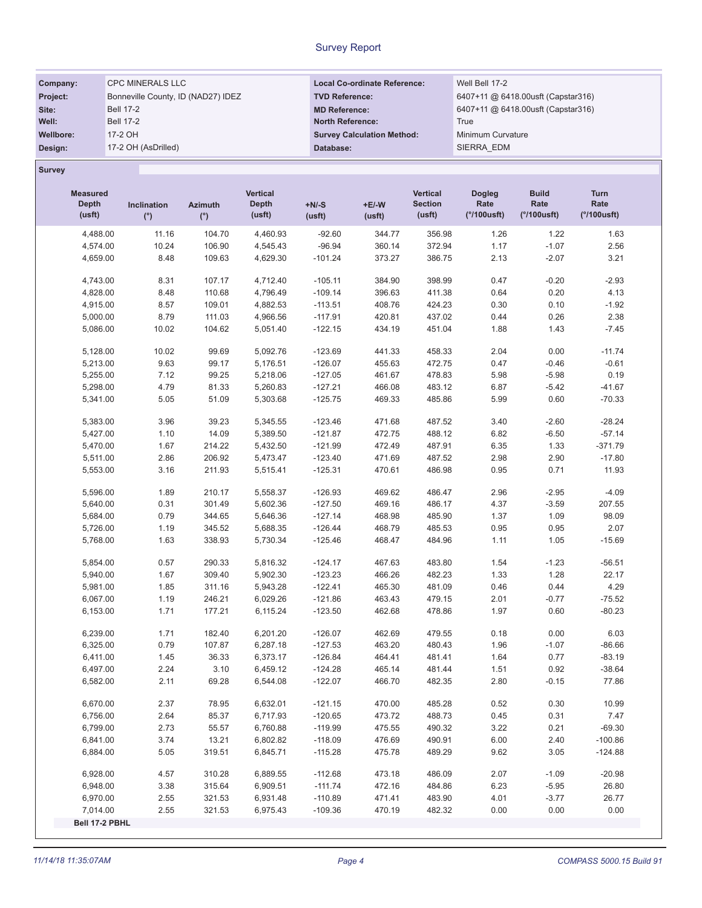| Company:        | <b>CPC MINERALS LLC</b>            | <b>Local Co-ordinate Reference:</b> | Well Bell 17-2                     |
|-----------------|------------------------------------|-------------------------------------|------------------------------------|
| <b>Project:</b> | Bonneville County, ID (NAD27) IDEZ | <b>TVD Reference:</b>               | 6407+11 @ 6418.00usft (Capstar316) |
| Site:           | <b>Bell 17-2</b>                   | <b>MD Reference:</b>                | 6407+11 @ 6418.00usft (Capstar316) |
| Well:           | <b>Bell 17-2</b>                   | <b>North Reference:</b>             | True                               |
| Wellbore:       | 17-2 OH                            | <b>Survey Calculation Method:</b>   | Minimum Curvature                  |
| Design:         | 17-2 OH (AsDrilled)                | Database:                           | SIERRA EDM                         |

Survey

| <b>Measured</b><br>Depth<br>(usft) | Inclination<br>(°) | <b>Azimuth</b><br>$(^\circ)$ | Vertical<br><b>Depth</b><br>(usft) | $+N/-S$<br>(usft) | $+E/-W$<br>(usft) | <b>Vertical</b><br><b>Section</b><br>(usft) | <b>Dogleg</b><br>Rate<br>$(°/100$ usft) | <b>Build</b><br>Rate<br>$(°/100$ usft) | Turn<br>Rate<br>(°/100usft) |
|------------------------------------|--------------------|------------------------------|------------------------------------|-------------------|-------------------|---------------------------------------------|-----------------------------------------|----------------------------------------|-----------------------------|
| 4,488.00                           | 11.16              | 104.70                       | 4,460.93                           | $-92.60$          | 344.77            | 356.98                                      | 1.26                                    | 1.22                                   | 1.63                        |
| 4,574.00                           | 10.24              | 106.90                       | 4,545.43                           | $-96.94$          | 360.14            | 372.94                                      | 1.17                                    | $-1.07$                                | 2.56                        |
| 4,659.00                           | 8.48               | 109.63                       | 4,629.30                           | $-101.24$         | 373.27            | 386.75                                      | 2.13                                    | $-2.07$                                | 3.21                        |
| 4,743.00                           | 8.31               | 107.17                       | 4,712.40                           | $-105.11$         | 384.90            | 398.99                                      | 0.47                                    | $-0.20$                                | $-2.93$                     |
| 4,828.00                           | 8.48               | 110.68                       | 4,796.49                           | $-109.14$         | 396.63            | 411.38                                      | 0.64                                    | 0.20                                   | 4.13                        |
| 4,915.00                           | 8.57               | 109.01                       | 4,882.53                           | $-113.51$         | 408.76            | 424.23                                      | 0.30                                    | 0.10                                   | $-1.92$                     |
| 5,000.00                           | 8.79               | 111.03                       | 4,966.56                           | $-117.91$         | 420.81            | 437.02                                      | 0.44                                    | 0.26                                   | 2.38                        |
| 5,086.00                           | 10.02              | 104.62                       | 5,051.40                           | $-122.15$         | 434.19            | 451.04                                      | 1.88                                    | 1.43                                   | $-7.45$                     |
| 5,128.00                           | 10.02              | 99.69                        | 5,092.76                           | $-123.69$         | 441.33            | 458.33                                      | 2.04                                    | 0.00                                   | $-11.74$                    |
| 5,213.00                           | 9.63               | 99.17                        | 5,176.51                           | $-126.07$         | 455.63            | 472.75                                      | 0.47                                    | $-0.46$                                | $-0.61$                     |
| 5,255.00                           | 7.12               | 99.25                        | 5,218.06                           | $-127.05$         | 461.67            | 478.83                                      | 5.98                                    | $-5.98$                                | 0.19                        |
| 5,298.00                           | 4.79               | 81.33                        | 5,260.83                           | $-127.21$         | 466.08            | 483.12                                      | 6.87                                    | $-5.42$                                | $-41.67$                    |
| 5,341.00                           | 5.05               | 51.09                        | 5,303.68                           | $-125.75$         | 469.33            | 485.86                                      | 5.99                                    | 0.60                                   | $-70.33$                    |
| 5,383.00                           | 3.96               | 39.23                        | 5,345.55                           | $-123.46$         | 471.68            | 487.52                                      | 3.40                                    | $-2.60$                                | $-28.24$                    |
| 5,427.00                           | 1.10               | 14.09                        | 5,389.50                           | $-121.87$         | 472.75            | 488.12                                      | 6.82                                    | $-6.50$                                | $-57.14$                    |
| 5,470.00                           | 1.67               | 214.22                       | 5,432.50                           | $-121.99$         | 472.49            | 487.91                                      | 6.35                                    | 1.33                                   | $-371.79$                   |
| 5,511.00                           | 2.86               | 206.92                       | 5,473.47                           | $-123.40$         | 471.69            | 487.52                                      | 2.98                                    | 2.90                                   | $-17.80$                    |
| 5,553.00                           | 3.16               | 211.93                       | 5,515.41                           | $-125.31$         | 470.61            | 486.98                                      | 0.95                                    | 0.71                                   | 11.93                       |
| 5,596.00                           | 1.89               | 210.17                       | 5,558.37                           | $-126.93$         | 469.62            | 486.47                                      | 2.96                                    | $-2.95$                                | $-4.09$                     |
| 5,640.00                           | 0.31               | 301.49                       | 5,602.36                           | $-127.50$         | 469.16            | 486.17                                      | 4.37                                    | $-3.59$                                | 207.55                      |
| 5,684.00                           | 0.79               | 344.65                       | 5,646.36                           | $-127.14$         | 468.98            | 485.90                                      | 1.37                                    | 1.09                                   | 98.09                       |
| 5,726.00                           | 1.19               | 345.52                       | 5,688.35                           | $-126.44$         | 468.79            | 485.53                                      | 0.95                                    | 0.95                                   | 2.07                        |
| 5,768.00                           | 1.63               | 338.93                       | 5,730.34                           | $-125.46$         | 468.47            | 484.96                                      | 1.11                                    | 1.05                                   | $-15.69$                    |
| 5,854.00                           | 0.57               | 290.33                       | 5,816.32                           | $-124.17$         | 467.63            | 483.80                                      | 1.54                                    | $-1.23$                                | $-56.51$                    |
| 5,940.00                           | 1.67               | 309.40                       | 5,902.30                           | $-123.23$         | 466.26            | 482.23                                      | 1.33                                    | 1.28                                   | 22.17                       |
| 5,981.00                           | 1.85               | 311.16                       | 5,943.28                           | $-122.41$         | 465.30            | 481.09                                      | 0.46                                    | 0.44                                   | 4.29                        |
| 6,067.00                           | 1.19               | 246.21                       | 6,029.26                           | $-121.86$         | 463.43            | 479.15                                      | 2.01                                    | $-0.77$                                | $-75.52$                    |
| 6,153.00                           | 1.71               | 177.21                       | 6,115.24                           | $-123.50$         | 462.68            | 478.86                                      | 1.97                                    | 0.60                                   | $-80.23$                    |
| 6,239.00                           | 1.71               | 182.40                       | 6,201.20                           | $-126.07$         | 462.69            | 479.55                                      | 0.18                                    | 0.00                                   | 6.03                        |
| 6,325.00                           | 0.79               | 107.87                       | 6,287.18                           | $-127.53$         | 463.20            | 480.43                                      | 1.96                                    | $-1.07$                                | $-86.66$                    |
| 6,411.00                           | 1.45               | 36.33                        | 6,373.17                           | $-126.84$         | 464.41            | 481.41                                      | 1.64                                    | 0.77                                   | $-83.19$                    |
| 6,497.00                           | 2.24               | 3.10                         | 6,459.12                           | $-124.28$         | 465.14            | 481.44                                      | 1.51                                    | 0.92                                   | $-38.64$                    |
| 6,582.00                           | 2.11               | 69.28                        | 6,544.08                           | $-122.07$         | 466.70            | 482.35                                      | 2.80                                    | $-0.15$                                | 77.86                       |
| 6,670.00                           | 2.37               | 78.95                        | 6,632.01                           | $-121.15$         | 470.00            | 485.28                                      | 0.52                                    | 0.30                                   | 10.99                       |
| 6,756.00                           | 2.64               | 85.37                        | 6,717.93                           | $-120.65$         | 473.72            | 488.73                                      | 0.45                                    | 0.31                                   | 7.47                        |
| 6,799.00                           | 2.73               | 55.57                        | 6,760.88                           | $-119.99$         | 475.55            | 490.32                                      | 3.22                                    | 0.21                                   | $-69.30$                    |
| 6,841.00                           | 3.74               | 13.21                        | 6,802.82                           | $-118.09$         | 476.69            | 490.91                                      | 6.00                                    | 2.40                                   | $-100.86$                   |
| 6,884.00                           | 5.05               | 319.51                       | 6,845.71                           | $-115.28$         | 475.78            | 489.29                                      | 9.62                                    | 3.05                                   | $-124.88$                   |
| 6,928.00                           | 4.57               | 310.28                       | 6,889.55                           | $-112.68$         | 473.18            | 486.09                                      | 2.07                                    | $-1.09$                                | $-20.98$                    |
| 6,948.00                           | 3.38               | 315.64                       | 6,909.51                           | $-111.74$         | 472.16            | 484.86                                      | 6.23                                    | $-5.95$                                | 26.80                       |
| 6,970.00                           | 2.55               | 321.53                       | 6,931.48                           | $-110.89$         | 471.41            | 483.90                                      | 4.01                                    | $-3.77$                                | 26.77                       |
| 7,014.00                           | 2.55               | 321.53                       | 6,975.43                           | $-109.36$         | 470.19            | 482.32                                      | 0.00                                    | 0.00                                   | 0.00                        |
| Bell 17-2 PBHL                     |                    |                              |                                    |                   |                   |                                             |                                         |                                        |                             |